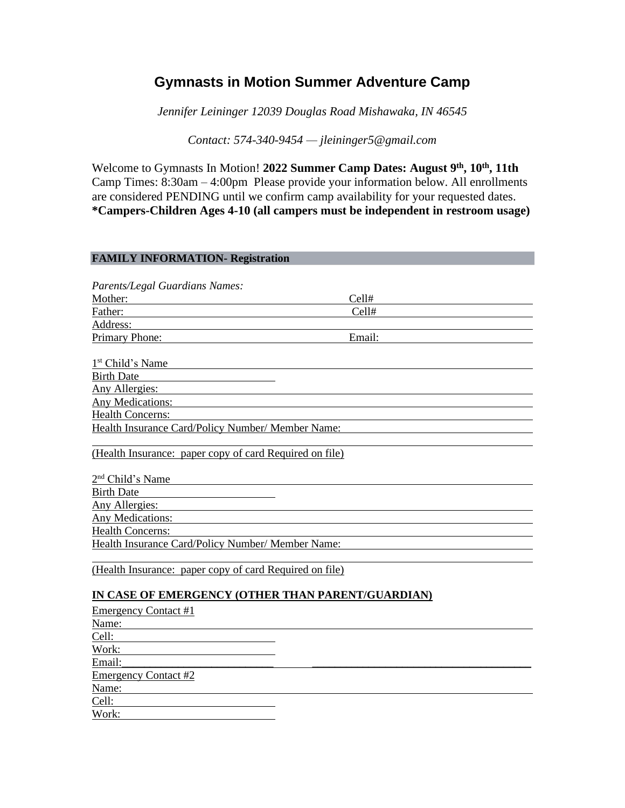# **Gymnasts in Motion Summer Adventure Camp**

*Jennifer Leininger 12039 Douglas Road Mishawaka, IN 46545*

*Contact: 574-340-9454 — jleininger5@gmail.com*

Welcome to Gymnasts In Motion! **2022 Summer Camp Dates: August 9th, 10th, 11th**  Camp Times: 8:30am – 4:00pm Please provide your information below. All enrollments are considered PENDING until we confirm camp availability for your requested dates. **\*Campers-Children Ages 4-10 (all campers must be independent in restroom usage)**

| <b>FAMILY INFORMATION- Registration</b>                                                                                                                                                                                                       |  |
|-----------------------------------------------------------------------------------------------------------------------------------------------------------------------------------------------------------------------------------------------|--|
|                                                                                                                                                                                                                                               |  |
| Parents/Legal Guardians Names:                                                                                                                                                                                                                |  |
| Cell#                                                                                                                                                                                                                                         |  |
| Cell#<br>Father:                                                                                                                                                                                                                              |  |
| Address:                                                                                                                                                                                                                                      |  |
| Primary Phone:<br>Email:                                                                                                                                                                                                                      |  |
|                                                                                                                                                                                                                                               |  |
| 1 <sup>st</sup> Child's Name                                                                                                                                                                                                                  |  |
| <b>Birth Date</b>                                                                                                                                                                                                                             |  |
| Any Allergies:                                                                                                                                                                                                                                |  |
| <b>Any Medications:</b> Any Medications:                                                                                                                                                                                                      |  |
| <b>Health Concerns:</b>                                                                                                                                                                                                                       |  |
| <b>Health Insurance Card/Policy Number/ Member Name:</b>                                                                                                                                                                                      |  |
|                                                                                                                                                                                                                                               |  |
| (Health Insurance: paper copy of card Required on file)                                                                                                                                                                                       |  |
|                                                                                                                                                                                                                                               |  |
| $2nd$ Child's Name                                                                                                                                                                                                                            |  |
| <b>Birth Date</b>                                                                                                                                                                                                                             |  |
| Any Allergies:                                                                                                                                                                                                                                |  |
| <b>Any Medications:</b>                                                                                                                                                                                                                       |  |
| <b>Health Concerns:</b>                                                                                                                                                                                                                       |  |
| Health Insurance Card/Policy Number/ Member Name:                                                                                                                                                                                             |  |
|                                                                                                                                                                                                                                               |  |
| (Health Insurance: paper copy of card Required on file)                                                                                                                                                                                       |  |
|                                                                                                                                                                                                                                               |  |
| IN CASE OF EMERGENCY (OTHER THAN PARENT/GUARDIAN)                                                                                                                                                                                             |  |
| <b>Emergency Contact #1</b>                                                                                                                                                                                                                   |  |
| Name:                                                                                                                                                                                                                                         |  |
| Cell:                                                                                                                                                                                                                                         |  |
| Work:<br><u>and the state of the state of the state of the state of the state of the state of the state of the state of the state of the state of the state of the state of the state of the state of the state of the state of the state</u> |  |
| Email:                                                                                                                                                                                                                                        |  |
| <b>Emergency Contact #2</b>                                                                                                                                                                                                                   |  |
| Name:                                                                                                                                                                                                                                         |  |
| Cell:                                                                                                                                                                                                                                         |  |

Work: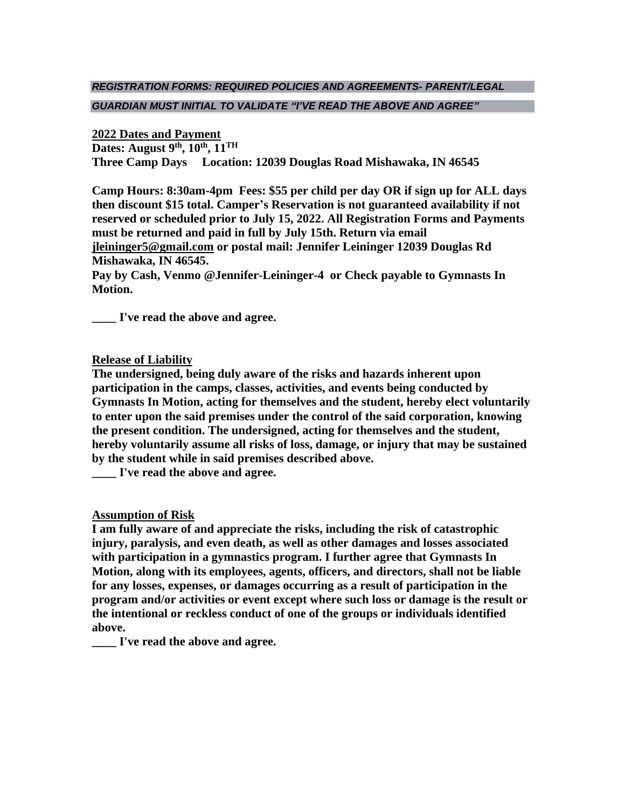## *REGISTRATION FORMS: REQUIRED POLICIES AND AGREEMENTS- PARENT/LEGAL GUARDIAN MUST INITIAL TO VALIDATE "I'VE READ THE ABOVE AND AGREE"*

### **2022 Dates and Payment**

**Dates: August 9th, 10th , 11TH**

**Three Camp Days Location: 12039 Douglas Road Mishawaka, IN 46545**

**Camp Hours: 8:30am-4pm Fees: \$55 per child per day OR if sign up for ALL days then discount \$15 total. Camper's Reservation is not guaranteed availability if not reserved or scheduled prior to July 15, 2022. All Registration Forms and Payments must be returned and paid in full by July 15th. Return via email [jleininger5@gmail.com](mailto:jleininger5@gmail.com) or postal mail: Jennifer Leininger 12039 Douglas Rd Mishawaka, IN 46545.**

**Pay by Cash, Venmo @Jennifer-Leininger-4 or Check payable to Gymnasts In Motion.**

**\_\_\_\_ I've read the above and agree.**

## **Release of Liability**

**The undersigned, being duly aware of the risks and hazards inherent upon participation in the camps, classes, activities, and events being conducted by Gymnasts In Motion, acting for themselves and the student, hereby elect voluntarily to enter upon the said premises under the control of the said corporation, knowing the present condition. The undersigned, acting for themselves and the student, hereby voluntarily assume all risks of loss, damage, or injury that may be sustained by the student while in said premises described above.**

**\_\_\_\_ I've read the above and agree.**

## **Assumption of Risk**

**I am fully aware of and appreciate the risks, including the risk of catastrophic injury, paralysis, and even death, as well as other damages and losses associated with participation in a gymnastics program. I further agree that Gymnasts In Motion, along with its employees, agents, officers, and directors, shall not be liable for any losses, expenses, or damages occurring as a result of participation in the program and/or activities or event except where such loss or damage is the result or the intentional or reckless conduct of one of the groups or individuals identified above.**

**\_\_\_\_ I've read the above and agree.**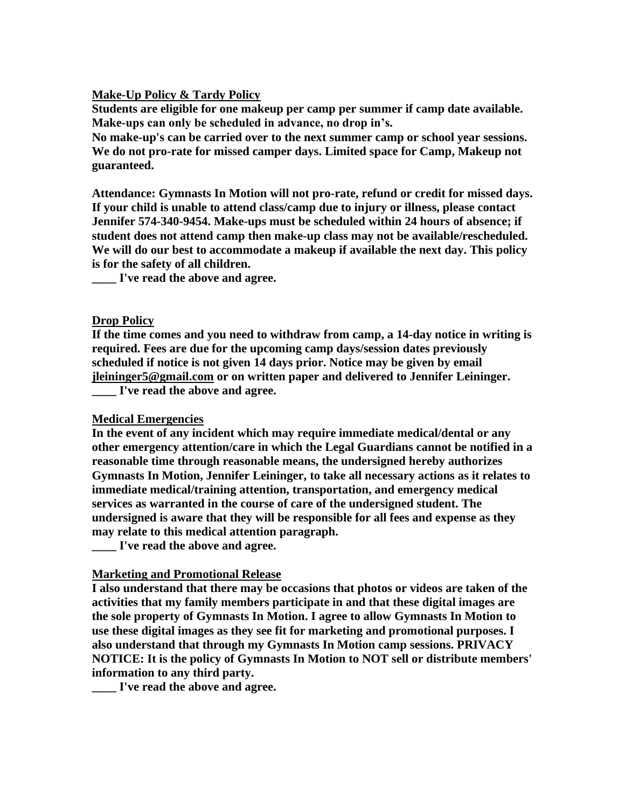### **Make-Up Policy & Tardy Policy**

**Students are eligible for one makeup per camp per summer if camp date available. Make-ups can only be scheduled in advance, no drop in's.**

**No make-up's can be carried over to the next summer camp or school year sessions. We do not pro-rate for missed camper days. Limited space for Camp, Makeup not guaranteed.**

**Attendance: Gymnasts In Motion will not pro-rate, refund or credit for missed days. If your child is unable to attend class/camp due to injury or illness, please contact Jennifer 574-340-9454. Make-ups must be scheduled within 24 hours of absence; if student does not attend camp then make-up class may not be available/rescheduled. We will do our best to accommodate a makeup if available the next day. This policy is for the safety of all children.**

**\_\_\_\_ I've read the above and agree.**

### **Drop Policy**

**If the time comes and you need to withdraw from camp, a 14-day notice in writing is required. Fees are due for the upcoming camp days/session dates previously scheduled if notice is not given 14 days prior. Notice may be given by email [jleininger5@gmail.com](mailto:jleininger5@gmail.com) or on written paper and delivered to Jennifer Leininger. \_\_\_\_ I've read the above and agree.**

#### **Medical Emergencies**

**In the event of any incident which may require immediate medical/dental or any other emergency attention/care in which the Legal Guardians cannot be notified in a reasonable time through reasonable means, the undersigned hereby authorizes Gymnasts In Motion, Jennifer Leininger, to take all necessary actions as it relates to immediate medical/training attention, transportation, and emergency medical services as warranted in the course of care of the undersigned student. The undersigned is aware that they will be responsible for all fees and expense as they may relate to this medical attention paragraph.**

**\_\_\_\_ I've read the above and agree.**

### **Marketing and Promotional Release**

**I also understand that there may be occasions that photos or videos are taken of the activities that my family members participate in and that these digital images are the sole property of Gymnasts In Motion. I agree to allow Gymnasts In Motion to use these digital images as they see fit for marketing and promotional purposes. I also understand that through my Gymnasts In Motion camp sessions. PRIVACY NOTICE: It is the policy of Gymnasts In Motion to NOT sell or distribute members' information to any third party.**

**\_\_\_\_ I've read the above and agree.**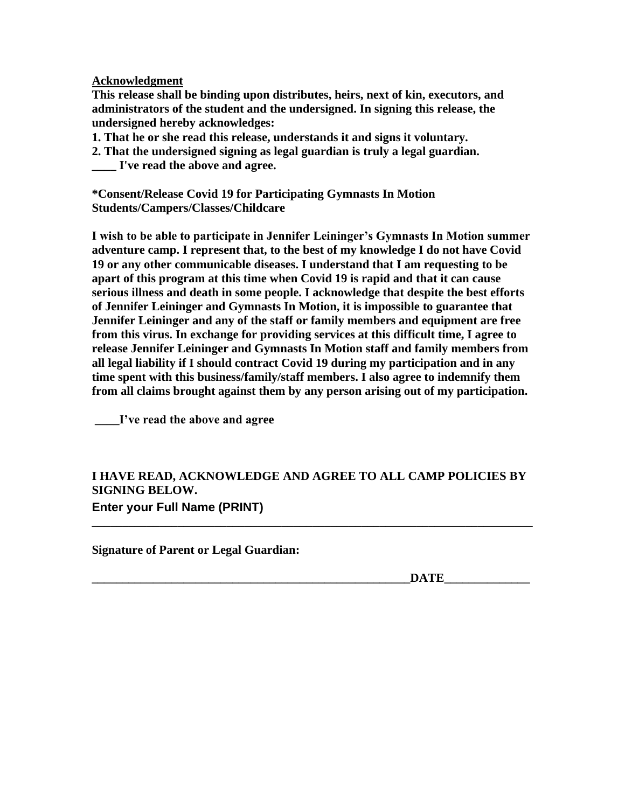**Acknowledgment**

**This release shall be binding upon distributes, heirs, next of kin, executors, and administrators of the student and the undersigned. In signing this release, the undersigned hereby acknowledges:**

**1. That he or she read this release, understands it and signs it voluntary.**

**2. That the undersigned signing as legal guardian is truly a legal guardian. \_\_\_\_ I've read the above and agree.**

**\*Consent/Release Covid 19 for Participating Gymnasts In Motion Students/Campers/Classes/Childcare**

**I wish to be able to participate in Jennifer Leininger's Gymnasts In Motion summer adventure camp. I represent that, to the best of my knowledge I do not have Covid 19 or any other communicable diseases. I understand that I am requesting to be apart of this program at this time when Covid 19 is rapid and that it can cause serious illness and death in some people. I acknowledge that despite the best efforts of Jennifer Leininger and Gymnasts In Motion, it is impossible to guarantee that Jennifer Leininger and any of the staff or family members and equipment are free from this virus. In exchange for providing services at this difficult time, I agree to release Jennifer Leininger and Gymnasts In Motion staff and family members from all legal liability if I should contract Covid 19 during my participation and in any time spent with this business/family/staff members. I also agree to indemnify them from all claims brought against them by any person arising out of my participation.** 

**\_\_\_\_I've read the above and agree**

## **I HAVE READ, ACKNOWLEDGE AND AGREE TO ALL CAMP POLICIES BY SIGNING BELOW. Enter your Full Name (PRINT)**

\_\_\_\_\_\_\_\_\_\_\_\_\_\_\_\_\_\_\_\_\_\_\_\_\_\_\_\_\_\_\_\_\_\_\_\_\_\_\_\_\_\_\_\_\_\_\_\_\_\_\_\_\_\_\_\_\_\_\_\_\_\_\_\_\_\_\_\_\_\_\_\_

**Signature of Parent or Legal Guardian:**

**\_\_\_\_\_\_\_\_\_\_\_\_\_\_\_\_\_\_\_\_\_\_\_\_\_\_\_\_\_\_\_\_\_\_\_\_\_\_\_\_\_\_\_\_\_\_\_\_\_\_\_\_DATE\_\_\_\_\_\_\_\_\_\_\_\_\_\_**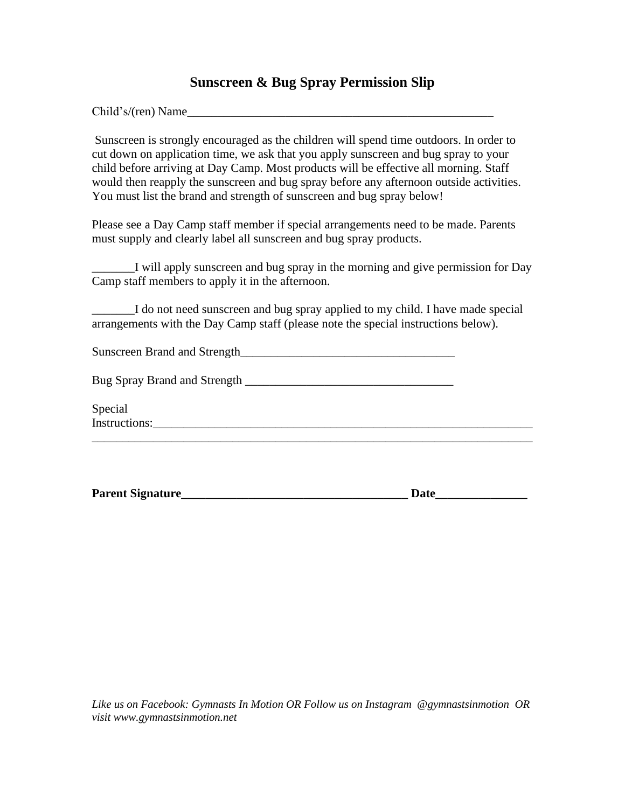## **Sunscreen & Bug Spray Permission Slip**

Child's/(ren) Name\_\_\_\_\_\_\_\_\_\_\_\_\_\_\_\_\_\_\_\_\_\_\_\_\_\_\_\_\_\_\_\_\_\_\_\_\_\_\_\_\_\_\_\_\_\_\_\_\_\_

Sunscreen is strongly encouraged as the children will spend time outdoors. In order to cut down on application time, we ask that you apply sunscreen and bug spray to your child before arriving at Day Camp. Most products will be effective all morning. Staff would then reapply the sunscreen and bug spray before any afternoon outside activities. You must list the brand and strength of sunscreen and bug spray below!

Please see a Day Camp staff member if special arrangements need to be made. Parents must supply and clearly label all sunscreen and bug spray products.

\_\_\_\_\_\_\_I will apply sunscreen and bug spray in the morning and give permission for Day Camp staff members to apply it in the afternoon.

\_\_\_\_\_\_\_I do not need sunscreen and bug spray applied to my child. I have made special arrangements with the Day Camp staff (please note the special instructions below).

Sunscreen Brand and Strength\_\_\_\_\_\_\_\_\_\_\_\_\_\_\_\_\_\_\_\_\_\_\_\_\_\_\_\_\_\_\_\_\_\_\_

| <b>Bug Spray Brand and Strength</b> |  |
|-------------------------------------|--|
|                                     |  |
|                                     |  |

Special Instructions:

| <b>Parent Signature</b> | Jate |
|-------------------------|------|
|                         |      |

\_\_\_\_\_\_\_\_\_\_\_\_\_\_\_\_\_\_\_\_\_\_\_\_\_\_\_\_\_\_\_\_\_\_\_\_\_\_\_\_\_\_\_\_\_\_\_\_\_\_\_\_\_\_\_\_\_\_\_\_\_\_\_\_\_\_\_\_\_\_\_\_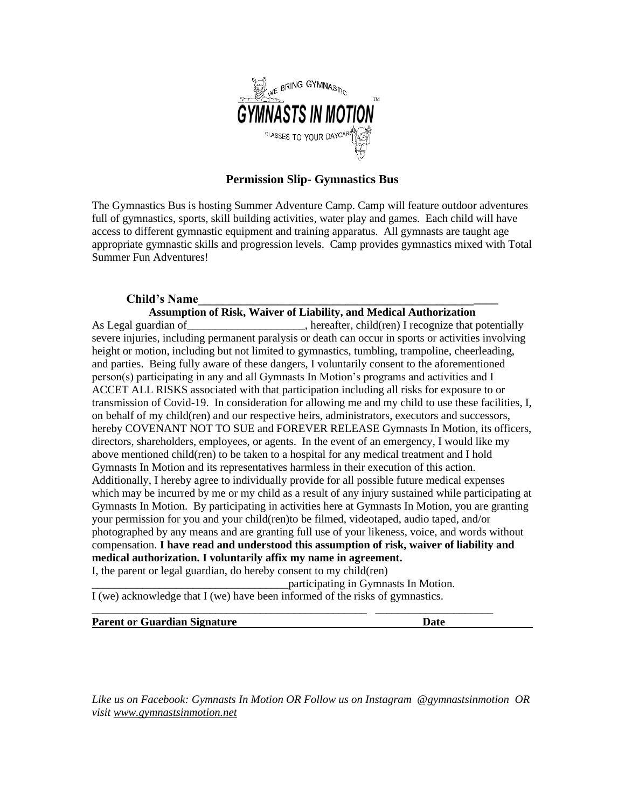

### **Permission Slip- Gymnastics Bus**

The Gymnastics Bus is hosting Summer Adventure Camp. Camp will feature outdoor adventures full of gymnastics, sports, skill building activities, water play and games. Each child will have access to different gymnastic equipment and training apparatus. All gymnasts are taught age appropriate gymnastic skills and progression levels. Camp provides gymnastics mixed with Total Summer Fun Adventures!

### **Child's Name\_\_\_\_\_\_\_\_\_\_\_\_\_\_\_\_\_\_\_\_\_\_\_\_\_\_\_\_\_\_\_\_\_\_\_\_\_\_\_\_\_\_\_\_\_\_\_\_\_**

#### **Assumption of Risk, Waiver of Liability, and Medical Authorization**

As Legal guardian of the same potentially between the settler, child(ren) I recognize that potentially severe injuries, including permanent paralysis or death can occur in sports or activities involving height or motion, including but not limited to gymnastics, tumbling, trampoline, cheerleading, and parties. Being fully aware of these dangers, I voluntarily consent to the aforementioned person(s) participating in any and all Gymnasts In Motion's programs and activities and I ACCET ALL RISKS associated with that participation including all risks for exposure to or transmission of Covid-19. In consideration for allowing me and my child to use these facilities, I, on behalf of my child(ren) and our respective heirs, administrators, executors and successors, hereby COVENANT NOT TO SUE and FOREVER RELEASE Gymnasts In Motion, its officers, directors, shareholders, employees, or agents. In the event of an emergency, I would like my above mentioned child(ren) to be taken to a hospital for any medical treatment and I hold Gymnasts In Motion and its representatives harmless in their execution of this action. Additionally, I hereby agree to individually provide for all possible future medical expenses which may be incurred by me or my child as a result of any injury sustained while participating at Gymnasts In Motion. By participating in activities here at Gymnasts In Motion, you are granting your permission for you and your child(ren)to be filmed, videotaped, audio taped, and/or photographed by any means and are granting full use of your likeness, voice, and words without compensation. **I have read and understood this assumption of risk, waiver of liability and medical authorization. I voluntarily affix my name in agreement.**

I, the parent or legal guardian, do hereby consent to my child(ren)

\_\_\_\_\_\_\_\_\_\_\_\_\_\_\_\_\_\_\_\_\_\_\_\_\_\_\_\_\_\_\_\_\_\_\_participating in Gymnasts In Motion.

\_\_\_\_\_\_\_\_\_\_\_\_\_\_\_\_\_\_\_\_\_\_\_\_\_\_\_\_\_\_\_\_\_\_\_\_\_\_\_\_\_\_\_\_\_\_\_\_\_ \_\_\_\_\_\_\_\_\_\_\_\_\_\_\_\_\_\_\_\_\_

I (we) acknowledge that I (we) have been informed of the risks of gymnastics.

**Parent or Guardian Signature Date**

*Like us on Facebook: Gymnasts In Motion OR Follow us on Instagram @gymnastsinmotion OR visit [www.gymnastsinmotion.net](http://www.gymnastsinmotion.net/)*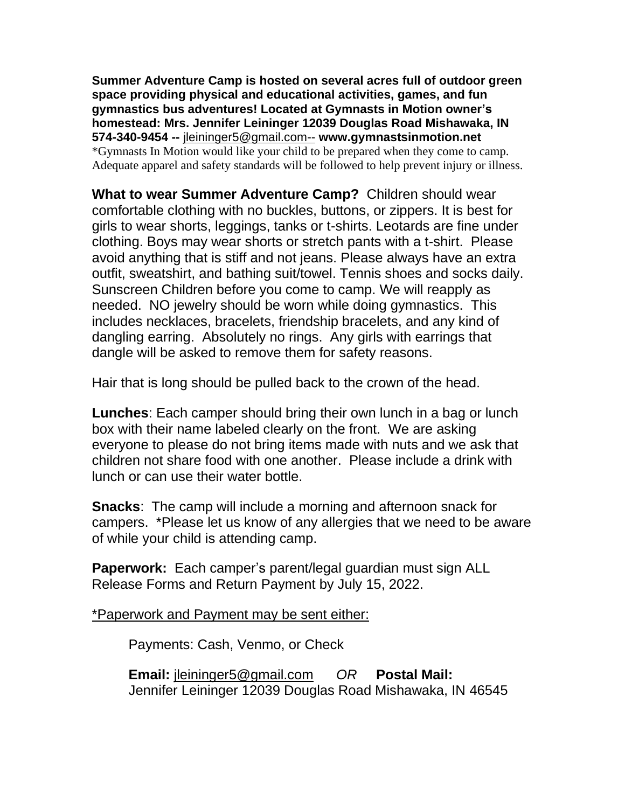**Summer Adventure Camp is hosted on several acres full of outdoor green space providing physical and educational activities, games, and fun gymnastics bus adventures! Located at Gymnasts in Motion owner's homestead: Mrs. Jennifer Leininger 12039 Douglas Road Mishawaka, IN 574-340-9454 --** [jleininger5@gmail.com--](mailto:jleininger5@gmail.com--) **www.gymnastsinmotion.net** \*Gymnasts In Motion would like your child to be prepared when they come to camp. Adequate apparel and safety standards will be followed to help prevent injury or illness.

**What to wear Summer Adventure Camp?** Children should wear comfortable clothing with no buckles, buttons, or zippers. It is best for girls to wear shorts, leggings, tanks or t-shirts. Leotards are fine under clothing. Boys may wear shorts or stretch pants with a t-shirt. Please avoid anything that is stiff and not jeans. Please always have an extra outfit, sweatshirt, and bathing suit/towel. Tennis shoes and socks daily. Sunscreen Children before you come to camp. We will reapply as needed. NO jewelry should be worn while doing gymnastics. This includes necklaces, bracelets, friendship bracelets, and any kind of dangling earring. Absolutely no rings. Any girls with earrings that dangle will be asked to remove them for safety reasons.

Hair that is long should be pulled back to the crown of the head.

**Lunches**: Each camper should bring their own lunch in a bag or lunch box with their name labeled clearly on the front. We are asking everyone to please do not bring items made with nuts and we ask that children not share food with one another. Please include a drink with lunch or can use their water bottle.

**Snacks**: The camp will include a morning and afternoon snack for campers. \*Please let us know of any allergies that we need to be aware of while your child is attending camp.

**Paperwork:** Each camper's parent/legal guardian must sign ALL Release Forms and Return Payment by July 15, 2022.

\*Paperwork and Payment may be sent either:

Payments: Cash, Venmo, or Check

**Email:** [jleininger5@gmail.com](mailto:jleininger5@gmail.com) *OR* **Postal Mail:** Jennifer Leininger 12039 Douglas Road Mishawaka, IN 46545